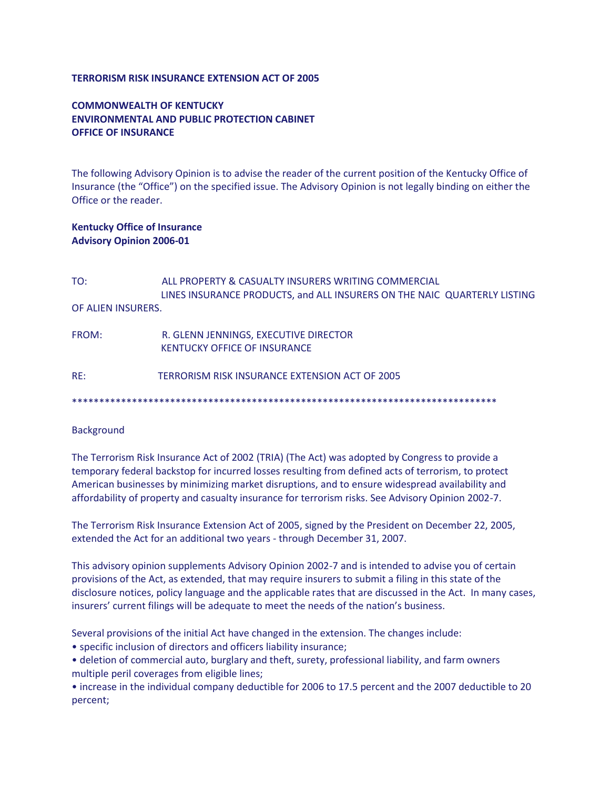#### **TERRORISM RISK INSURANCE EXTENSION ACT OF 2005**

# **COMMONWEALTH OF KENTUCKY ENVIRONMENTAL AND PUBLIC PROTECTION CABINET OFFICE OF INSURANCE**

The following Advisory Opinion is to advise the reader of the current position of the Kentucky Office of Insurance (the "Office") on the specified issue. The Advisory Opinion is not legally binding on either the Office or the reader.

### **Kentucky Office of Insurance Advisory Opinion 2006-01**

| TO:                | ALL PROPERTY & CASUALTY INSURERS WRITING COMMERCIAL<br>LINES INSURANCE PRODUCTS, and ALL INSURERS ON THE NAIC QUARTERLY LISTING |
|--------------------|---------------------------------------------------------------------------------------------------------------------------------|
| OF ALIEN INSURERS. |                                                                                                                                 |
| FROM:              | R. GLENN JENNINGS, EXECUTIVE DIRECTOR<br><b>KENTUCKY OFFICE OF INSURANCE</b>                                                    |
| RF:                | TERRORISM RISK INSURANCE EXTENSION ACT OF 2005                                                                                  |

#### **Background**

The Terrorism Risk Insurance Act of 2002 (TRIA) (The Act) was adopted by Congress to provide a temporary federal backstop for incurred losses resulting from defined acts of terrorism, to protect American businesses by minimizing market disruptions, and to ensure widespread availability and affordability of property and casualty insurance for terrorism risks. See Advisory Opinion 2002-7.

\*\*\*\*\*\*\*\*\*\*\*\*\*\*\*\*\*\*\*\*\*\*\*\*\*\*\*\*\*\*\*\*\*\*\*\*\*\*\*\*\*\*\*\*\*\*\*\*\*\*\*\*\*\*\*\*\*\*\*\*\*\*\*\*\*\*\*\*\*\*\*\*\*\*\*\*\*\*

The Terrorism Risk Insurance Extension Act of 2005, signed by the President on December 22, 2005, extended the Act for an additional two years - through December 31, 2007.

This advisory opinion supplements Advisory Opinion 2002-7 and is intended to advise you of certain provisions of the Act, as extended, that may require insurers to submit a filing in this state of the disclosure notices, policy language and the applicable rates that are discussed in the Act. In many cases, insurers' current filings will be adequate to meet the needs of the nation's business.

Several provisions of the initial Act have changed in the extension. The changes include:

- specific inclusion of directors and officers liability insurance;
- deletion of commercial auto, burglary and theft, surety, professional liability, and farm owners multiple peril coverages from eligible lines;

• increase in the individual company deductible for 2006 to 17.5 percent and the 2007 deductible to 20 percent;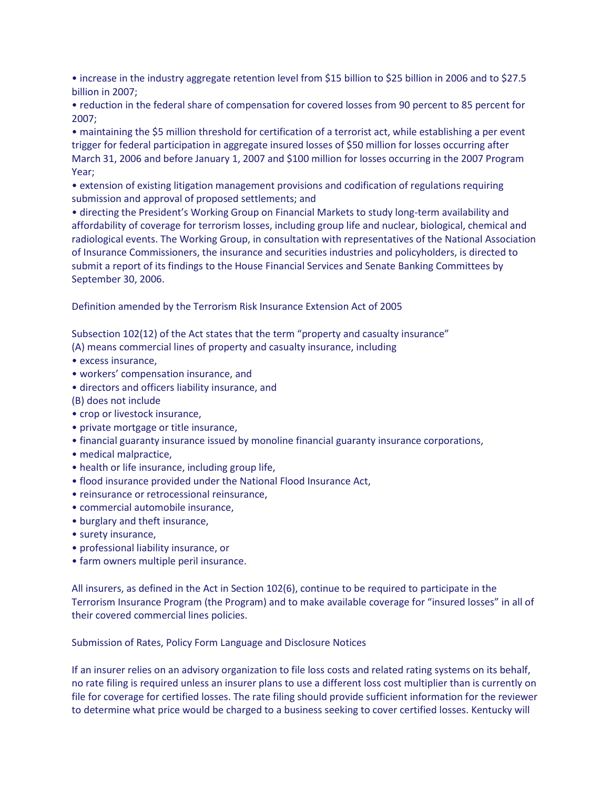• increase in the industry aggregate retention level from \$15 billion to \$25 billion in 2006 and to \$27.5 billion in 2007;

• reduction in the federal share of compensation for covered losses from 90 percent to 85 percent for 2007;

• maintaining the \$5 million threshold for certification of a terrorist act, while establishing a per event trigger for federal participation in aggregate insured losses of \$50 million for losses occurring after March 31, 2006 and before January 1, 2007 and \$100 million for losses occurring in the 2007 Program Year;

• extension of existing litigation management provisions and codification of regulations requiring submission and approval of proposed settlements; and

• directing the President's Working Group on Financial Markets to study long-term availability and affordability of coverage for terrorism losses, including group life and nuclear, biological, chemical and radiological events. The Working Group, in consultation with representatives of the National Association of Insurance Commissioners, the insurance and securities industries and policyholders, is directed to submit a report of its findings to the House Financial Services and Senate Banking Committees by September 30, 2006.

Definition amended by the Terrorism Risk Insurance Extension Act of 2005

Subsection 102(12) of the Act states that the term "property and casualty insurance"

- (A) means commercial lines of property and casualty insurance, including
- excess insurance,
- workers' compensation insurance, and
- directors and officers liability insurance, and

(B) does not include

- crop or livestock insurance,
- private mortgage or title insurance,
- financial guaranty insurance issued by monoline financial guaranty insurance corporations,
- medical malpractice,
- health or life insurance, including group life,
- flood insurance provided under the National Flood Insurance Act,
- reinsurance or retrocessional reinsurance,
- commercial automobile insurance,
- burglary and theft insurance,
- surety insurance,
- professional liability insurance, or
- farm owners multiple peril insurance.

All insurers, as defined in the Act in Section 102(6), continue to be required to participate in the Terrorism Insurance Program (the Program) and to make available coverage for "insured losses" in all of their covered commercial lines policies.

Submission of Rates, Policy Form Language and Disclosure Notices

If an insurer relies on an advisory organization to file loss costs and related rating systems on its behalf, no rate filing is required unless an insurer plans to use a different loss cost multiplier than is currently on file for coverage for certified losses. The rate filing should provide sufficient information for the reviewer to determine what price would be charged to a business seeking to cover certified losses. Kentucky will